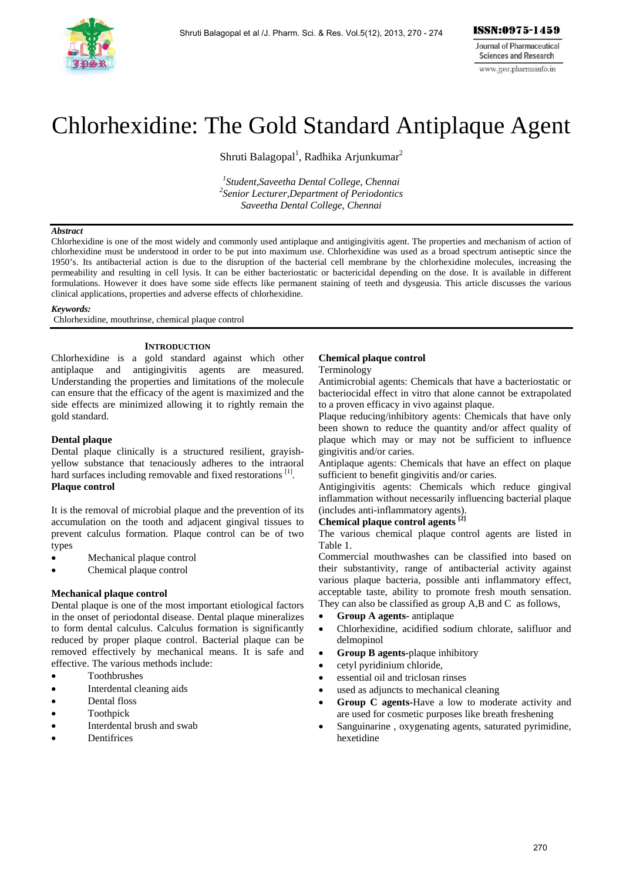

# Chlorhexidine: The Gold Standard Antiplaque Agent

Shruti Balagopal<sup>1</sup>, Radhika Arjunkumar<sup>2</sup>

*1 Student,Saveetha Dental College, Chennai 2 Senior Lecturer,Department of Periodontics Saveetha Dental College, Chennai* 

#### *Abstract*

Chlorhexidine is one of the most widely and commonly used antiplaque and antigingivitis agent. The properties and mechanism of action of chlorhexidine must be understood in order to be put into maximum use. Chlorhexidine was used as a broad spectrum antiseptic since the 1950's. Its antibacterial action is due to the disruption of the bacterial cell membrane by the chlorhexidine molecules, increasing the permeability and resulting in cell lysis. It can be either bacteriostatic or bactericidal depending on the dose. It is available in different formulations. However it does have some side effects like permanent staining of teeth and dysgeusia. This article discusses the various clinical applications, properties and adverse effects of chlorhexidine.

## *Keywords:*

Chlorhexidine, mouthrinse, chemical plaque control

## **INTRODUCTION**

Chlorhexidine is a gold standard against which other antiplaque and antigingivitis agents are measured. Understanding the properties and limitations of the molecule can ensure that the efficacy of the agent is maximized and the side effects are minimized allowing it to rightly remain the gold standard.

## **Dental plaque**

Dental plaque clinically is a structured resilient, grayishyellow substance that tenaciously adheres to the intraoral hard surfaces including removable and fixed restorations [1]. **Plaque control** 

It is the removal of microbial plaque and the prevention of its accumulation on the tooth and adjacent gingival tissues to prevent calculus formation. Plaque control can be of two types

- Mechanical plaque control
- Chemical plaque control

## **Mechanical plaque control**

Dental plaque is one of the most important etiological factors in the onset of periodontal disease. Dental plaque mineralizes to form dental calculus. Calculus formation is significantly reduced by proper plaque control. Bacterial plaque can be removed effectively by mechanical means. It is safe and effective. The various methods include:

- Toothbrushes
- Interdental cleaning aids
- Dental floss
- Toothpick
- Interdental brush and swab
- **Dentifrices**

## **Chemical plaque control**

Terminology

Antimicrobial agents: Chemicals that have a bacteriostatic or bacteriocidal effect in vitro that alone cannot be extrapolated to a proven efficacy in vivo against plaque.

Plaque reducing/inhibitory agents: Chemicals that have only been shown to reduce the quantity and/or affect quality of plaque which may or may not be sufficient to influence gingivitis and/or caries.

Antiplaque agents: Chemicals that have an effect on plaque sufficient to benefit gingivitis and/or caries.

Antigingivitis agents: Chemicals which reduce gingival inflammation without necessarily influencing bacterial plaque (includes anti-inflammatory agents).

# **Chemical plaque control agents [2]**

The various chemical plaque control agents are listed in Table 1.

Commercial mouthwashes can be classified into based on their substantivity, range of antibacterial activity against various plaque bacteria, possible anti inflammatory effect, acceptable taste, ability to promote fresh mouth sensation. They can also be classified as group A,B and C as follows,

- **Group A agents-** antiplaque
- Chlorhexidine, acidified sodium chlorate, salifluor and delmopinol
- **Group B agents-**plaque inhibitory
- cetyl pyridinium chloride,
- essential oil and triclosan rinses
- used as adjuncts to mechanical cleaning
- **Group C agents-**Have a low to moderate activity and are used for cosmetic purposes like breath freshening
- Sanguinarine , oxygenating agents, saturated pyrimidine, hexetidine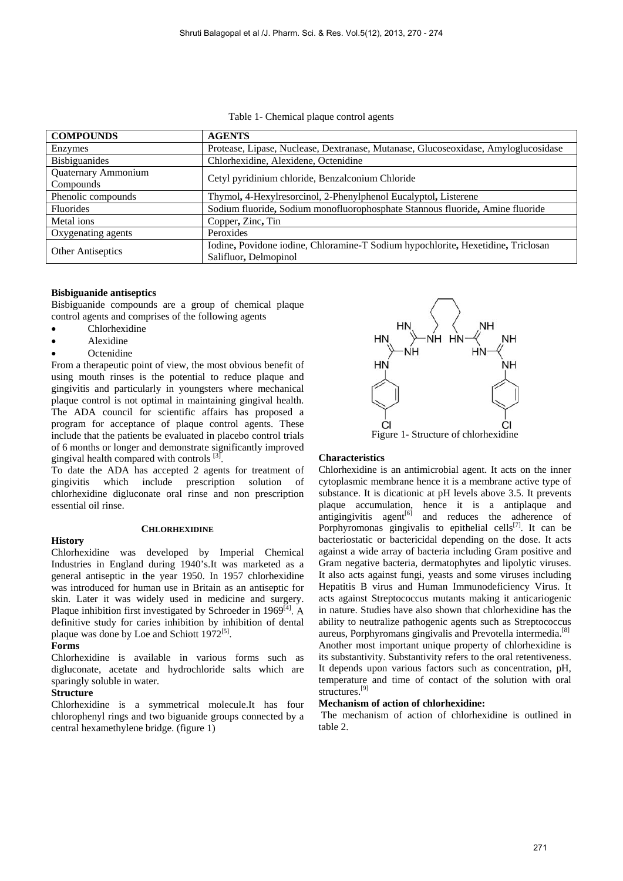Table 1- Chemical plaque control agents

| <b>COMPOUNDS</b>                 | <b>AGENTS</b>                                                                                             |
|----------------------------------|-----------------------------------------------------------------------------------------------------------|
| Enzymes                          | Protease, Lipase, Nuclease, Dextranase, Mutanase, Glucoseoxidase, Amyloglucosidase                        |
| <b>Bisbiguanides</b>             | Chlorhexidine, Alexidene, Octenidine                                                                      |
| Quaternary Ammonium<br>Compounds | Cetyl pyridinium chloride, Benzalconium Chloride                                                          |
| Phenolic compounds               | Thymol, 4-Hexylresorcinol, 2-Phenylphenol Eucalyptol, Listerene                                           |
| <b>Fluorides</b>                 | Sodium fluoride, Sodium monofluorophosphate Stannous fluoride, Amine fluoride                             |
| Metal ions                       | Copper, Zinc, Tin                                                                                         |
| Oxygenating agents               | Peroxides                                                                                                 |
| <b>Other Antiseptics</b>         | Iodine, Povidone iodine, Chloramine-T Sodium hypochlorite, Hexetidine, Triclosan<br>Salifluor, Delmopinol |

## **Bisbiguanide antiseptics**

Bisbiguanide compounds are a group of chemical plaque control agents and comprises of the following agents

- Chlorhexidine
- Alexidine
- **Octenidine**

From a therapeutic point of view, the most obvious benefit of using mouth rinses is the potential to reduce plaque and gingivitis and particularly in youngsters where mechanical plaque control is not optimal in maintaining gingival health. The ADA council for scientific affairs has proposed a program for acceptance of plaque control agents. These include that the patients be evaluated in placebo control trials of 6 months or longer and demonstrate significantly improved gingival health compared with controls  $[3]$ .

To date the ADA has accepted 2 agents for treatment of gingivitis which include prescription solution of chlorhexidine digluconate oral rinse and non prescription essential oil rinse.

## **CHLORHEXIDINE**

Chlorhexidine was developed by Imperial Chemical Industries in England during 1940's.It was marketed as a general antiseptic in the year 1950. In 1957 chlorhexidine was introduced for human use in Britain as an antiseptic for skin. Later it was widely used in medicine and surgery. Plaque inhibition first investigated by Schroeder in  $1969^{[4]}$ . A definitive study for caries inhibition by inhibition of dental plaque was done by Loe and Schiott  $1972^{[5]}$ .

## **Forms**

**History** 

Chlorhexidine is available in various forms such as digluconate, acetate and hydrochloride salts which are sparingly soluble in water.

## **Structure**

Chlorhexidine is a symmetrical molecule.It has four chlorophenyl rings and two biguanide groups connected by a central hexamethylene bridge. (figure 1)



## **Characteristics**

Chlorhexidine is an antimicrobial agent. It acts on the inner cytoplasmic membrane hence it is a membrane active type of substance. It is dicationic at pH levels above 3.5. It prevents plaque accumulation, hence it is a antiplaque and antigingivitis agent $[6]$  and reduces the adherence of Porphyromonas gingivalis to epithelial cells<sup>[7]</sup>. It can be bacteriostatic or bactericidal depending on the dose. It acts against a wide array of bacteria including Gram positive and Gram negative bacteria, dermatophytes and lipolytic viruses. It also acts against fungi, yeasts and some viruses including Hepatitis B virus and Human Immunodeficiency Virus. It acts against Streptococcus mutants making it anticariogenic in nature. Studies have also shown that chlorhexidine has the ability to neutralize pathogenic agents such as Streptococcus aureus, Porphyromans gingivalis and Prevotella intermedia.[8] Another most important unique property of chlorhexidine is its substantivity. Substantivity refers to the oral retentiveness. It depends upon various factors such as concentration, pH, temperature and time of contact of the solution with oral structures.<sup>[9]</sup>

## **Mechanism of action of chlorhexidine:**

 The mechanism of action of chlorhexidine is outlined in table 2.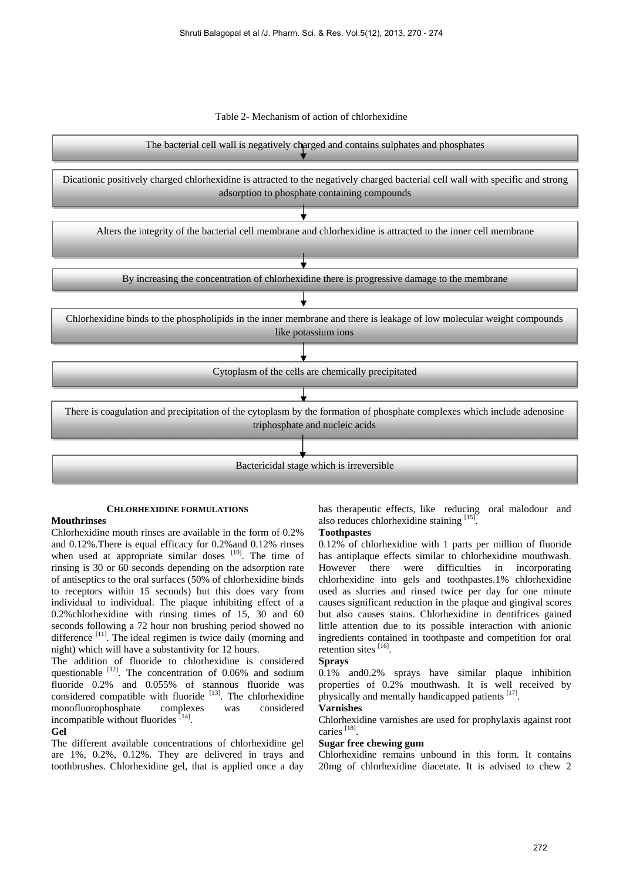



## **CHLORHEXIDINE FORMULATIONS**

## **Mouthrinses**

Chlorhexidine mouth rinses are available in the form of 0.2% and 0.12%.There is equal efficacy for 0.2%and 0.12% rinses when used at appropriate similar doses  $[10]$ . The time of rinsing is 30 or 60 seconds depending on the adsorption rate of antiseptics to the oral surfaces (50% of chlorhexidine binds to receptors within 15 seconds) but this does vary from individual to individual. The plaque inhibiting effect of a 0.2%chlorhexidine with rinsing times of 15, 30 and 60 seconds following a 72 hour non brushing period showed no difference <sup>[11]</sup>. The ideal regimen is twice daily (morning and night) which will have a substantivity for 12 hours.

The addition of fluoride to chlorhexidine is considered questionable <sup>[12]</sup>. The concentration of 0.06% and sodium fluoride 0.2% and 0.055% of stannous fluoride was considered compatible with fluoride [13]. The chlorhexidine monofluorophosphate complexes was considered incompatible without fluorides  $[14]$ .

## **Gel**

The different available concentrations of chlorhexidine gel are 1%, 0.2%, 0.12%. They are delivered in trays and toothbrushes. Chlorhexidine gel, that is applied once a day has therapeutic effects, like reducing oral malodour and also reduces chlorhexidine staining [15].

## **Toothpastes**

0.12% of chlorhexidine with 1 parts per million of fluoride has antiplaque effects similar to chlorhexidine mouthwash. However there were difficulties in incorporating chlorhexidine into gels and toothpastes.1% chlorhexidine used as slurries and rinsed twice per day for one minute causes significant reduction in the plaque and gingival scores but also causes stains. Chlorhexidine in dentifrices gained little attention due to its possible interaction with anionic ingredients contained in toothpaste and competition for oral retention sites [16].

## **Sprays**

0.1% and0.2% sprays have similar plaque inhibition properties of 0.2% mouthwash. It is well received by physically and mentally handicapped patients [17].

## **Varnishes**

Chlorhexidine varnishes are used for prophylaxis against root caries [18].

## **Sugar free chewing gum**

Chlorhexidine remains unbound in this form. It contains 20mg of chlorhexidine diacetate. It is advised to chew 2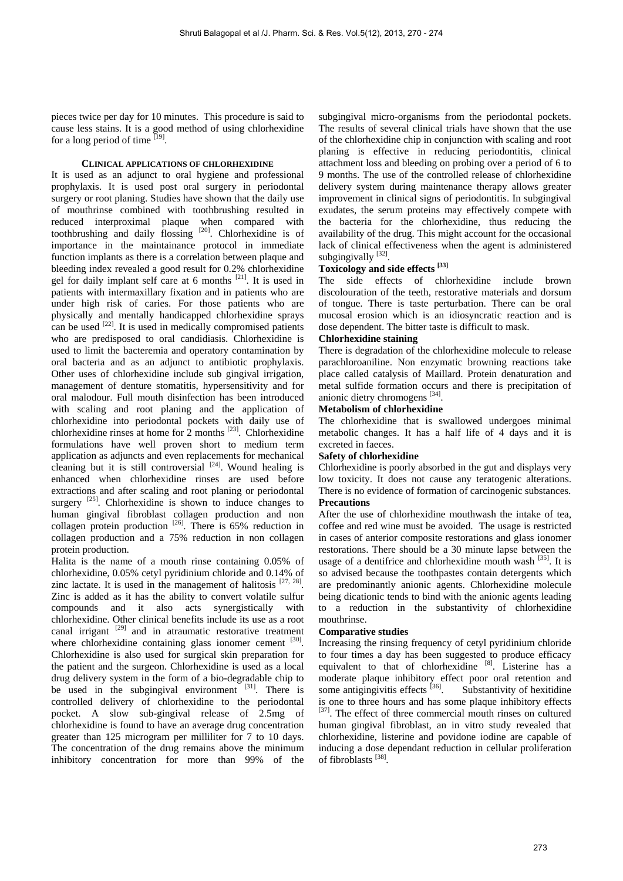pieces twice per day for 10 minutes. This procedure is said to cause less stains. It is a good method of using chlorhexidine for a long period of time  $\frac{[19]}{[}$ .

## **CLINICAL APPLICATIONS OF CHLORHEXIDINE**

It is used as an adjunct to oral hygiene and professional prophylaxis. It is used post oral surgery in periodontal surgery or root planing. Studies have shown that the daily use of mouthrinse combined with toothbrushing resulted in reduced interproximal plaque when compared with toothbrushing and daily flossing [20]. Chlorhexidine is of importance in the maintainance protocol in immediate function implants as there is a correlation between plaque and bleeding index revealed a good result for 0.2% chlorhexidine gel for daily implant self care at 6 months [21]. It is used in patients with intermaxillary fixation and in patients who are under high risk of caries. For those patients who are physically and mentally handicapped chlorhexidine sprays can be used  $^{[22]}$ . It is used in medically compromised patients who are predisposed to oral candidiasis. Chlorhexidine is used to limit the bacteremia and operatory contamination by oral bacteria and as an adjunct to antibiotic prophylaxis. Other uses of chlorhexidine include sub gingival irrigation, management of denture stomatitis, hypersensitivity and for oral malodour. Full mouth disinfection has been introduced with scaling and root planing and the application of chlorhexidine into periodontal pockets with daily use of chlorhexidine rinses at home for 2 months [23]. Chlorhexidine formulations have well proven short to medium term application as adjuncts and even replacements for mechanical cleaning but it is still controversial  $[24]$ . Wound healing is enhanced when chlorhexidine rinses are used before extractions and after scaling and root planing or periodontal surgery  $^{[25]}$ . Chlorhexidine is shown to induce changes to human gingival fibroblast collagen production and non collagen protein production  $^{[26]}$ . There is 65% reduction in collagen production and a 75% reduction in non collagen protein production.

Halita is the name of a mouth rinse containing 0.05% of chlorhexidine, 0.05% cetyl pyridinium chloride and 0.14% of zinc lactate. It is used in the management of halitosis  $[27, 28]$ . Zinc is added as it has the ability to convert volatile sulfur compounds and it also acts synergistically with chlorhexidine. Other clinical benefits include its use as a root canal irrigant  $[29]$  and in atraumatic restorative treatment where chlorhexidine containing glass ionomer cement [30]. Chlorhexidine is also used for surgical skin preparation for the patient and the surgeon. Chlorhexidine is used as a local drug delivery system in the form of a bio-degradable chip to be used in the subgingival environment  $[31]$ . There is controlled delivery of chlorhexidine to the periodontal pocket. A slow sub-gingival release of 2.5mg of chlorhexidine is found to have an average drug concentration greater than 125 microgram per milliliter for 7 to 10 days. The concentration of the drug remains above the minimum inhibitory concentration for more than 99% of the

subgingival micro-organisms from the periodontal pockets. The results of several clinical trials have shown that the use of the chlorhexidine chip in conjunction with scaling and root planing is effective in reducing periodontitis, clinical attachment loss and bleeding on probing over a period of 6 to 9 months. The use of the controlled release of chlorhexidine delivery system during maintenance therapy allows greater improvement in clinical signs of periodontitis. In subgingival exudates, the serum proteins may effectively compete with the bacteria for the chlorhexidine, thus reducing the availability of the drug. This might account for the occasional lack of clinical effectiveness when the agent is administered subgingivally [32].

# **Toxicology and side effects [33]**

The side effects of chlorhexidine include brown discolouration of the teeth, restorative materials and dorsum of tongue. There is taste perturbation. There can be oral mucosal erosion which is an idiosyncratic reaction and is dose dependent. The bitter taste is difficult to mask.

## **Chlorhexidine staining**

There is degradation of the chlorhexidine molecule to release parachloroaniline. Non enzymatic browning reactions take place called catalysis of Maillard. Protein denaturation and metal sulfide formation occurs and there is precipitation of anionic dietry chromogens [34].

## **Metabolism of chlorhexidine**

The chlorhexidine that is swallowed undergoes minimal metabolic changes. It has a half life of 4 days and it is excreted in faeces.

## **Safety of chlorhexidine**

Chlorhexidine is poorly absorbed in the gut and displays very low toxicity. It does not cause any teratogenic alterations. There is no evidence of formation of carcinogenic substances. **Precautions** 

After the use of chlorhexidine mouthwash the intake of tea, coffee and red wine must be avoided. The usage is restricted in cases of anterior composite restorations and glass ionomer restorations. There should be a 30 minute lapse between the usage of a dentifrice and chlorhexidine mouth wash <sup>[35]</sup>. It is so advised because the toothpastes contain detergents which are predominantly anionic agents. Chlorhexidine molecule being dicationic tends to bind with the anionic agents leading to a reduction in the substantivity of chlorhexidine mouthrinse.

## **Comparative studies**

Increasing the rinsing frequency of cetyl pyridinium chloride to four times a day has been suggested to produce efficacy equivalent to that of chlorhexidine  $[8]$ . Listerine has a moderate plaque inhibitory effect poor oral retention and some antigingivitis effects  $\left| \frac{36}{1} \right|$ . Substantivity of hexitidine is one to three hours and has some plaque inhibitory effects [37]. The effect of three commercial mouth rinses on cultured human gingival fibroblast, an in vitro study revealed that chlorhexidine, listerine and povidone iodine are capable of inducing a dose dependant reduction in cellular proliferation of fibroblasts [38].